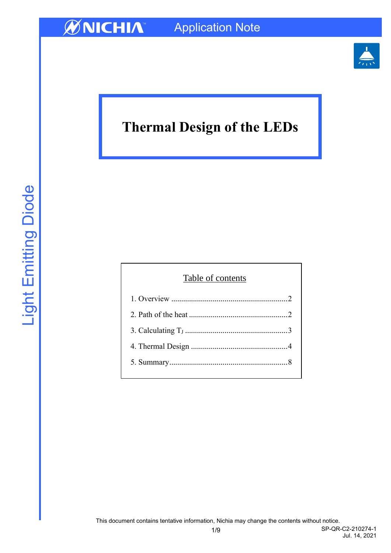

# **Thermal Design of the LEDs**

| Table of contents |  |  |  |
|-------------------|--|--|--|
|                   |  |  |  |
|                   |  |  |  |
|                   |  |  |  |
|                   |  |  |  |
|                   |  |  |  |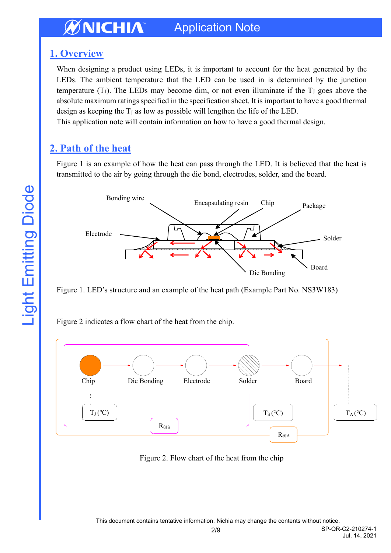### <span id="page-1-0"></span>**1. Overview**

When designing a product using LEDs, it is important to account for the heat generated by the LEDs. The ambient temperature that the LED can be used in is determined by the junction temperature  $(T<sub>J</sub>)$ . The LEDs may become dim, or not even illuminate if the  $T<sub>J</sub>$  goes above the absolute maximum ratings specified in the specification sheet. It is important to have a good thermal design as keeping the  $T_J$  as low as possible will lengthen the life of the LED.

This application note will contain information on how to have a good thermal design.

## <span id="page-1-1"></span>**2. Path of the heat**

Figure 1 is an example of how the heat can pass through the LED. It is believed that the heat is transmitted to the air by going through the die bond, electrodes, solder, and the board.



Figure 1. LED's structure and an example of the heat path (Example Part No. NS3W183)

Figure 2 indicates a flow chart of the heat from the chip.



Figure 2. Flow chart of the heat from the chip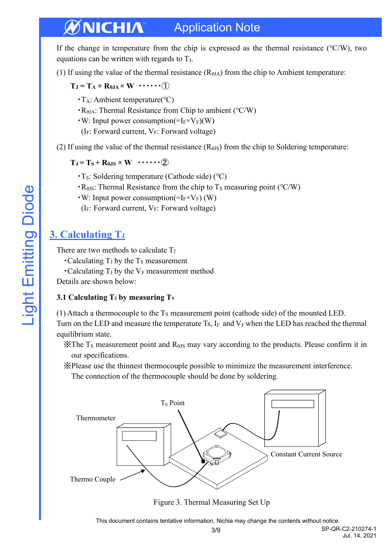If the change in temperature from the chip is expressed as the thermal resistance (℃/W), two equations can be written with regards to  $T_J$ .

(1) If using the value of the thermal resistance  $(R<sub>θJA</sub>)$  from the chip to Ambient temperature:

 $T_J = T_A + R_{0JA} \times W \cdots \cdots (1)$ 

- ・TA: Ambient temperature(℃)
- ・RθJA: Thermal Resistance from Chip to ambient (℃/W)
- $\cdot$  W: Input power consumption(=I<sub>F</sub>×V<sub>F</sub>)(W)
- (IF: Forward current, VF: Forward voltage)
- (2) If using the value of the thermal resistance  $(R_{\theta JS})$  from the chip to Soldering temperature:

 $T_J = T_S + R_{\theta, IS} \times W$   $\cdots$  (2)

- ・TS: Soldering temperature (Cathode side) (℃)
- $\cdot$  R<sub> $\theta$ JS</sub>: Thermal Resistance from the chip to T<sub>S</sub> measuring point (°C/W)
- $\cdot$  W: Input power consumption(=I<sub>F</sub>×V<sub>F</sub>) (W)
- ( $I_F$ : Forward current,  $V_F$ : Forward voltage)

### <span id="page-2-0"></span>**3. Calculating T<sup>J</sup>**

There are two methods to calculate T<sub>J</sub>

- $\cdot$  Calculating T<sub>J</sub> by the T<sub>S</sub> measurement
- Calculating  $T_J$  by the  $V_F$  measurement method

Details are shown below:

#### **3.1 Calculating T<sup>J</sup> by measuring T<sup>S</sup>**

(1) Attach a thermocouple to the  $T<sub>S</sub>$  measurement point (cathode side) of the mounted LED. Turn on the LED and measure the temperature Ts,  $I_F$  and  $V_F$  when the LED has reached the thermal equilibrium state.

- $\angle$ X The T<sub>S</sub> measurement point and R<sub> $\theta$ JS</sub> may vary according to the products. Please confirm it in our specifications.
- ※Please use the thinnest thermocouple possible to minimize the measurement interference.
	- The connection of the thermocouple should be done by soldering.



Figure 3. Thermal Measuring Set Up

Jul. 14, 2021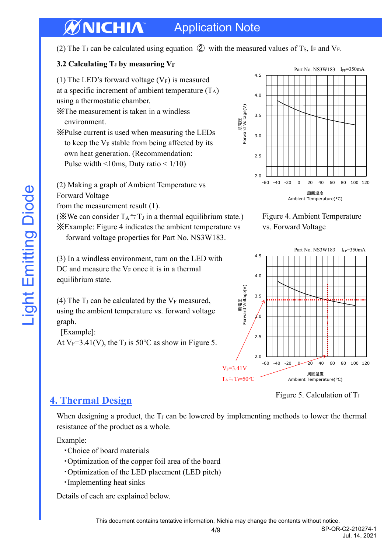#### **Application Note** 7 INTEE All characteristics shown are for reference only and are not guaranteed.

(2) The T<sub>J</sub> can be calculated using equation  $\circled{2}$  with the measured values of T<sub>S</sub>, I<sub>F</sub> and V<sub>F</sub>.

#### **3.2 Calculating T<sup>J</sup> by measuring V<sup>F</sup>** VfIf **Forward Voltage vs Ilating Tu by**

(1) The LED's forward voltage  $(V_F)$  is measured at a specific increment of ambient temperature  $(T_A)$ 

using a thermostatic chamber.

※The measurement is taken in a windless environment. Tur<br>er<br>e

※Pulse current is used when measuring the LEDs to keep the  $V_F$  stable from being affected by its own heat generation. (Recommendation: Pulse width  $\leq 10$ ms, Duty ratio  $\leq 1/10$ )

(2) Making a graph of Ambient Temperature vs Forward Voltage

from the measurement result  $(1)$ .

( $\mathbb$ <sup>W</sup>We can consider T<sub>A</sub>  $\doteq$  T<sub>J</sub> in a thermal equilibrium state.) ※Example: Figure 4 indicates the ambient temperature vs 順電流-相対光束特性 forward voltage properties for Part No. NS3W183.  $\mathcal{Q}$ rd voltage propei relative and the interest of the state of the state of the state of the state of the state of the state of the state of the state of the state of the state of the state of the state of the state of the state of the state o **Figure 4 multiples** 

 $(3)$  In a windless environment, turn on the LED with DC and measure the  $V_F$  once it is in a thermal equilibrium state.

(4) The  $T_J$  can be calculated by the  $V_F$  measured,<br>using the embient temperature vs. forward velters using the ambient temperature vs. forward voltage graph. an<br>1b ca<sup>-</sup> rsu<br>st<br>an<br>nb

[Example]:

At  $V_F=3.41(V)$ , the T<sub>J</sub> is 50°C as show in Figure 5.







Figure 5. Calculation of  $T_J$ 

## <span id="page-3-0"></span>**4. Thermal Design**

When designing a product, the T<sub>J</sub> can be lowered by implementing methods to lower the thermal resistance of the product as a whole.

Example:

- · Choice of board materials
- ・Optimization of the copper foil area of the board
- Optimization of the LED placement (LED pitch)<br>• Implementing heat sinks f<br>uti<br>nti<br>ucl
- · Implementing heat sinks

Details of each are explained below.

4/9 SP-QR-C2-210274-1 Jul. 14, 2021 -60 -40 -20 0 20 40 60 80 100 120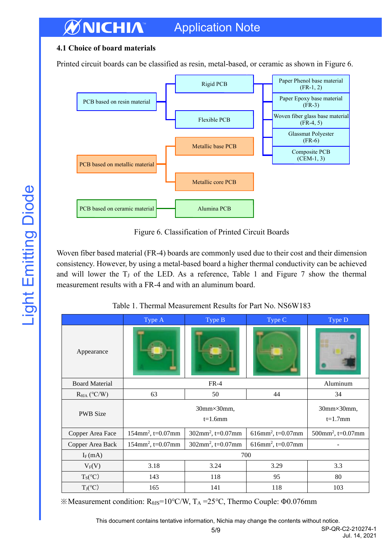#### **4.1 Choice of board materials**

Printed circuit boards can be classified as resin, metal-based, or ceramic as shown in Figure 6.



Figure 6. Classification of Printed Circuit Boards

Woven fiber based material (FR-4) boards are commonly used due to their cost and their dimension consistency. However, by using a metal-based board a higher thermal conductivity can be achieved and will lower the  $T_J$  of the LED. As a reference, Table 1 and Figure 7 show the thermal measurement results with a FR-4 and with an aluminum board.

|                        | Type A                           | Type B                       | Type C                           | Type D                           |
|------------------------|----------------------------------|------------------------------|----------------------------------|----------------------------------|
| Appearance             |                                  |                              |                                  |                                  |
| <b>Board Material</b>  | $FR-4$                           |                              |                                  | Aluminum                         |
| $R_{\theta JA}$ (°C/W) | 63                               | 50                           | 44                               | 34                               |
| <b>PWB</b> Size        | 30mm×30mm,<br>$t=1.6$ mm         |                              |                                  | 30mm×30mm,<br>$t=1.7$ mm         |
| Copper Area Face       | $154$ mm <sup>2</sup> , t=0.07mm | $302 \text{mm}^2$ , t=0.07mm | $616$ mm <sup>2</sup> , t=0.07mm | $500$ mm <sup>2</sup> , t=0.07mm |
| Copper Area Back       | $154$ mm <sup>2</sup> , t=0.07mm | $302 \text{mm}^2$ , t=0.07mm | $616$ mm <sup>2</sup> , t=0.07mm |                                  |
| $I_F(mA)$              | 700                              |                              |                                  |                                  |
| $V_F(V)$               | 3.18                             | 3.24                         | 3.29                             | 3.3                              |
| $T_S(°C)$              | 143                              | 118                          | 95                               | 80                               |
| $T_J(°C)$              | 165                              | 141                          | 118                              | 103                              |

Table 1. Thermal Measurement Results for Part No. NS6W183

 $\&$  Measurement condition: R<sub>θJS</sub>=10°C/W, T<sub>A</sub> =25°C, Thermo Couple: Φ0.076mm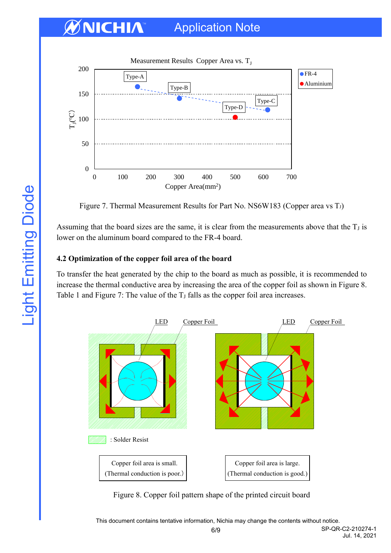

Figure 7. Thermal Measurement Results for Part No. NS6W183 (Copper area vs T<sub>J</sub>)

Assuming that the board sizes are the same, it is clear from the measurements above that the  $T_J$  is lower on the aluminum board compared to the FR-4 board.

#### **4.2 Optimization of the copper foil area of the board**

To transfer the heat generated by the chip to the board as much as possible, it is recommended to increase the thermal conductive area by increasing the area of the copper foil as shown in Figure 8. Table 1 and Figure 7: The value of the  $T_J$  falls as the copper foil area increases.



Figure 8. Copper foil pattern shape of the printed circuit board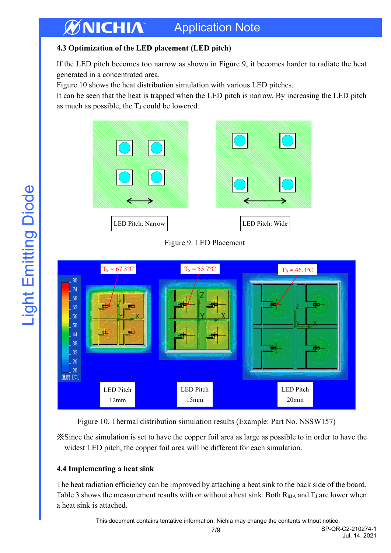#### **4.3 Optimization of the LED placement (LED pitch)**

If the LED pitch becomes too narrow as shown in Figure 9, it becomes harder to radiate the heat generated in a concentrated area.

Figure 10 shows the heat distribution simulation with various LED pitches.

It can be seen that the heat is trapped when the LED pitch is narrow. By increasing the LED pitch as much as possible, the  $T_J$  could be lowered.



Figure 9. LED Placement



Figure 10. Thermal distribution simulation results (Example: Part No. NSSW157)

※Since the simulation is set to have the copper foil area as large as possible to in order to have the widest LED pitch, the copper foil area will be different for each simulation.

### **4.4 Implementing a heat sink**

The heat radiation efficiency can be improved by attaching a heat sink to the back side of the board. Table 3 shows the measurement results with or without a heat sink. Both  $R_{\theta JA}$  and  $T_J$  are lower when a heat sink is attached.

This document contains tentative information, Nichia may change the contents without notice.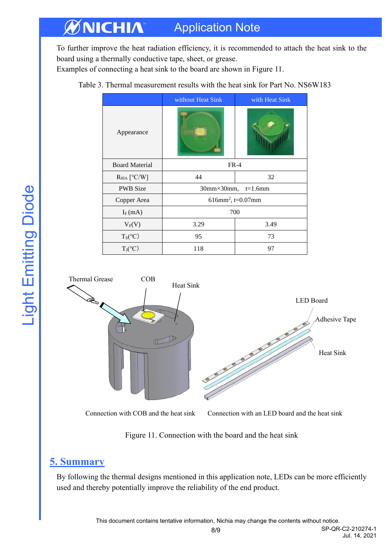To further improve the heat radiation efficiency, it is recommended to attach the heat sink to the board using a thermally conductive tape, sheet, or grease.

Examples of connecting a heat sink to the board are shown in Figure 11.

|                        | without Heat Sink                | with Heat Sink |  |
|------------------------|----------------------------------|----------------|--|
| Appearance             |                                  |                |  |
| <b>Board Material</b>  | $FR-4$                           |                |  |
| $R_{\theta JA}$ [°C/W] | 44                               | 32             |  |
| <b>PWB</b> Size        | $30mm \times 30mm$ , $t=1.6mm$   |                |  |
| Copper Area            | $616$ mm <sup>2</sup> , t=0.07mm |                |  |
| $I_F(mA)$              | 700                              |                |  |
| $V_F(V)$               | 3.29                             | 3.49           |  |
| $T_S(°C)$              | 95                               | 73             |  |
| $T_J(°C)$              | 118                              | 97             |  |

Table 3. Thermal measurement results with the heat sink for Part No. NS6W183



Connection with COB and the heat sink Connection with an LED board and the heat sink

Jul. 14, 2021

Figure 11. Connection with the board and the heat sink

### <span id="page-7-0"></span>**5. Summary**

By following the thermal designs mentioned in this application note, LEDs can be more efficiently used and thereby potentially improve the reliability of the end product.